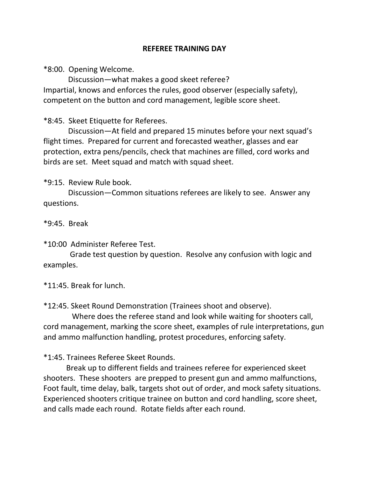## **REFEREE TRAINING DAY**

\*8:00. Opening Welcome.

 Discussion—what makes a good skeet referee? Impartial, knows and enforces the rules, good observer (especially safety), competent on the button and cord management, legible score sheet.

\*8:45. Skeet Etiquette for Referees.

 Discussion—At field and prepared 15 minutes before your next squad's flight times. Prepared for current and forecasted weather, glasses and ear protection, extra pens/pencils, check that machines are filled, cord works and birds are set. Meet squad and match with squad sheet.

\*9:15. Review Rule book.

 Discussion—Common situations referees are likely to see. Answer any questions.

\*9:45. Break

\*10:00 Administer Referee Test.

 Grade test question by question. Resolve any confusion with logic and examples.

\*11:45. Break for lunch.

\*12:45. Skeet Round Demonstration (Trainees shoot and observe).

 Where does the referee stand and look while waiting for shooters call, cord management, marking the score sheet, examples of rule interpretations, gun and ammo malfunction handling, protest procedures, enforcing safety.

\*1:45. Trainees Referee Skeet Rounds.

 Break up to different fields and trainees referee for experienced skeet shooters. These shooters are prepped to present gun and ammo malfunctions, Foot fault, time delay, balk, targets shot out of order, and mock safety situations. Experienced shooters critique trainee on button and cord handling, score sheet, and calls made each round. Rotate fields after each round.